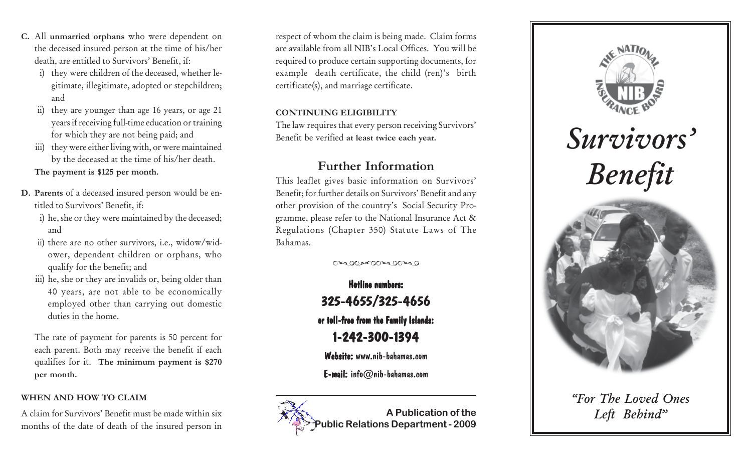- **C.** All **unmarried orphans** who were dependent on the deceased insured person at the time of his/her death, are entitled to Survivors' Benefit, if:
	- i) they were children of the deceased, whether le<sup>g</sup>itimate, illegitimate, adopted or stepchildren; and
	- ii) they are younger than age 16 years, or age 21 years if receiving full-time education or training for which they are not being paid; and
	- iii) they were either living with, or were maintained by the deceased at the time of his/her death. **The payment is \$125 per month.**
- **D. Parents** of a deceased insured person would be entitled to Survivors' Benefit, if:
	- i) he, she or they were maintained by the deceased; and
	- ii) there are no other survivors, i.e., widow/widower, dependent children or orphans, who qualify for the benefit; and
	- iii) he, she or they are invalids or, being older than 40 years, are not able to be economically employed other than carrying out domestic duties in the home.

The rate of payment for parents is 50 percent for each parent. Both may receive the benefit if each qualifies for it. **The minimum payment is \$270 per month.**

### **WHEN AND HOW TO CLAIM**

A claim for Survivors' Benefit must be made within six months of the date of death of the insured person in

respect of whom the claim is being made. Claim forms are available from all NIB's Local Offices. You will be required to produce certain supporting documents, for example death certificate, the child (ren)'s birth certificate(s), and marriage certificate.

### **CONTINUING ELIGIBILITY**

The law requires that every person receiving Survivors' Benefit be verified **at least twice each year.**

## **Further Information**

This leaflet gives basic information on Survivors' Benefit; for further details on Survivors' Benefit and any other provision of the country's Social Security Programme, please refer to the National Insurance Act & Regulations (Chapter 350) Statute Laws of The Bahamas.

೧೯೩೦೦ ೫೯೧೧ ಇ೩೦೧ ಕಾ

Hotline numbers: 325-4655/325-4656 325-4655/325-4656 or toll-free from the Family Islands: 1-242-300-1394

Website: www.nib-bahamas.com

E-mail:  $info@nib-bahamas.com$ 







# *"For The Loved Ones Left Behind"*